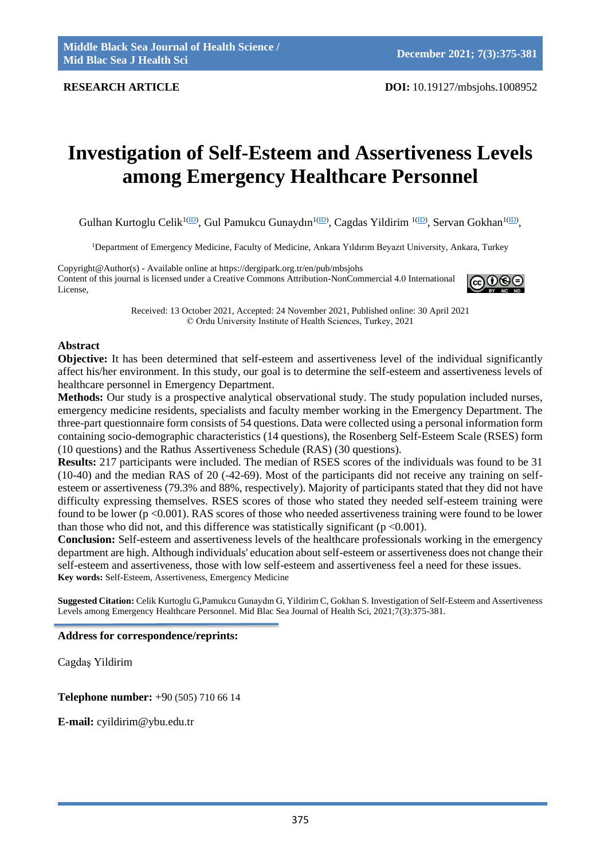# **Investigation of Self-Esteem and Assertiveness Levels among Emergency Healthcare Personnel**

Gulhan Kurtoglu Celik<sup>1[\(ID\)](https://orcid.org/0000-0001-7456-5395)</sup>, Gul Pamukcu Gunaydın<sup>[1\(ID\)](https://orcid.org/0000-0002-1758-3383)</sup>, Cagdas Yildirim <sup>1(ID)</sup>, Servan Gokhan<sup>1(ID)</sup>,

<sup>1</sup>Department of Emergency Medicine, Faculty of Medicine, Ankara Yıldırım Beyazıt University, Ankara, Turkey

Copyright@Author(s) - Available online at https://dergipark.org.tr/en/pub/mbsjohs Content of this journal is licensed under a Creative Commons Attribution-NonCommercial 4.0 International License,



Received: 13 October 2021, Accepted: 24 November 2021, Published online: 30 April 2021 © Ordu University Institute of Health Sciences, Turkey, 2021

# **Abstract**

**Objective:** It has been determined that self-esteem and assertiveness level of the individual significantly affect his/her environment. In this study, our goal is to determine the self-esteem and assertiveness levels of healthcare personnel in Emergency Department.

**Methods:** Our study is a prospective analytical observational study. The study population included nurses, emergency medicine residents, specialists and faculty member working in the Emergency Department. The three-part questionnaire form consists of 54 questions. Data were collected using a personal information form containing socio-demographic characteristics (14 questions), the Rosenberg Self-Esteem Scale (RSES) form (10 questions) and the Rathus Assertiveness Schedule (RAS) (30 questions).

**Results:** 217 participants were included. The median of RSES scores of the individuals was found to be 31 (10-40) and the median RAS of 20 (-42-69). Most of the participants did not receive any training on selfesteem or assertiveness (79.3% and 88%, respectively). Majority of participants stated that they did not have difficulty expressing themselves. RSES scores of those who stated they needed self-esteem training were found to be lower (p <0.001). RAS scores of those who needed assertiveness training were found to be lower than those who did not, and this difference was statistically significant ( $p < 0.001$ ).

**Conclusion:** Self-esteem and assertiveness levels of the healthcare professionals working in the emergency department are high. Although individuals' education about self-esteem or assertiveness does not change their self-esteem and assertiveness, those with low self-esteem and assertiveness feel a need for these issues. **Key words:** Self-Esteem, Assertiveness, Emergency Medicine

**Suggested Citation:** Celik Kurtoglu G,Pamukcu Gunaydın G, Yildirim C, Gokhan S. Investigation of Self-Esteem and Assertiveness Levels among Emergency Healthcare Personnel. Mid Blac Sea Journal of Health Sci, 2021;7(3):375-381.

## **Address for correspondence/reprints:**

Cagdaş Yildirim

**Telephone number:** +90 (505) 710 66 14

**E-mail:** cyildirim@ybu.edu.tr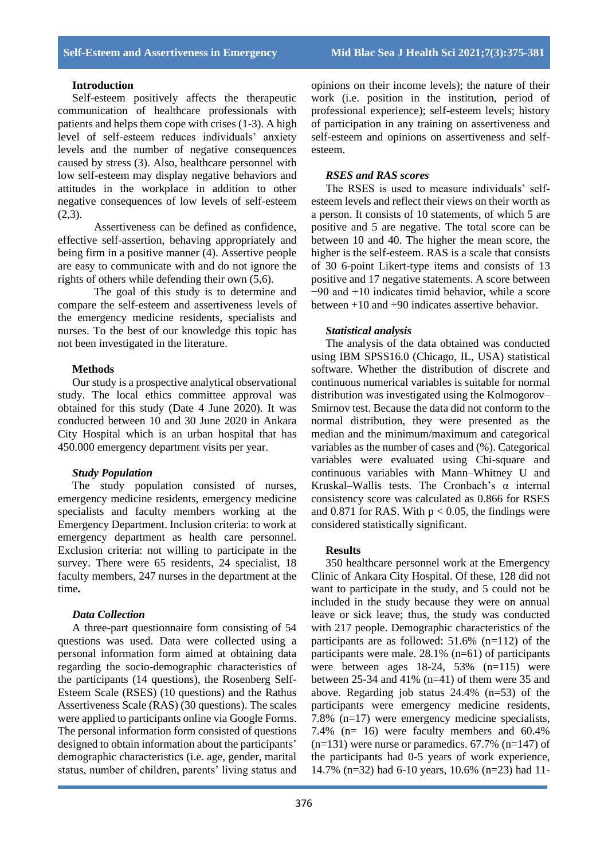## **Introduction**

Self-esteem positively affects the therapeutic communication of healthcare professionals with patients and helps them cope with crises (1-3). A high level of self-esteem reduces individuals' anxiety levels and the number of negative consequences caused by stress (3). Also, healthcare personnel with low self-esteem may display negative behaviors and attitudes in the workplace in addition to other negative consequences of low levels of self-esteem  $(2,3)$ .

Assertiveness can be defined as confidence, effective self-assertion, behaving appropriately and being firm in a positive manner (4). Assertive people are easy to communicate with and do not ignore the rights of others while defending their own (5,6).

The goal of this study is to determine and compare the self-esteem and assertiveness levels of the emergency medicine residents, specialists and nurses. To the best of our knowledge this topic has not been investigated in the literature.

#### **Methods**

Our study is a prospective analytical observational study. The local ethics committee approval was obtained for this study (Date 4 June 2020). It was conducted between 10 and 30 June 2020 in Ankara City Hospital which is an urban hospital that has 450.000 emergency department visits per year.

#### *Study Population*

The study population consisted of nurses, emergency medicine residents, emergency medicine specialists and faculty members working at the Emergency Department. Inclusion criteria: to work at emergency department as health care personnel. Exclusion criteria: not willing to participate in the survey. There were 65 residents, 24 specialist, 18 faculty members, 247 nurses in the department at the time*.*

#### *Data Collection*

A three-part questionnaire form consisting of 54 questions was used. Data were collected using a personal information form aimed at obtaining data regarding the socio-demographic characteristics of the participants (14 questions), the Rosenberg Self-Esteem Scale (RSES) (10 questions) and the Rathus Assertiveness Scale (RAS) (30 questions). The scales were applied to participants online via Google Forms. The personal information form consisted of questions designed to obtain information about the participants' demographic characteristics (i.e. age, gender, marital status, number of children, parents' living status and opinions on their income levels); the nature of their work (i.e. position in the institution, period of professional experience); self-esteem levels; history of participation in any training on assertiveness and self-esteem and opinions on assertiveness and selfesteem.

# *RSES and RAS scores*

The RSES is used to measure individuals' selfesteem levels and reflect their views on their worth as a person. It consists of 10 statements, of which 5 are positive and 5 are negative. The total score can be between 10 and 40. The higher the mean score, the higher is the self-esteem. RAS is a scale that consists of 30 6-point Likert-type items and consists of 13 positive and 17 negative statements. A score between −90 and +10 indicates timid behavior, while a score between +10 and +90 indicates assertive behavior.

### *Statistical analysis*

The analysis of the data obtained was conducted using IBM SPSS16.0 (Chicago, IL, USA) statistical software. Whether the distribution of discrete and continuous numerical variables is suitable for normal distribution was investigated using the Kolmogorov– Smirnov test. Because the data did not conform to the normal distribution, they were presented as the median and the minimum/maximum and categorical variables as the number of cases and (%). Categorical variables were evaluated using Chi-square and continuous variables with Mann–Whitney U and Kruskal–Wallis tests. The Cronbach's α internal consistency score was calculated as 0.866 for RSES and 0.871 for RAS. With  $p < 0.05$ , the findings were considered statistically significant.

#### **Results**

350 healthcare personnel work at the Emergency Clinic of Ankara City Hospital. Of these, 128 did not want to participate in the study, and 5 could not be included in the study because they were on annual leave or sick leave; thus, the study was conducted with 217 people. Demographic characteristics of the participants are as followed: 51.6% (n=112) of the participants were male. 28.1% (n=61) of participants were between ages 18-24, 53% (n=115) were between 25-34 and 41% ( $n=41$ ) of them were 35 and above. Regarding job status 24.4% (n=53) of the participants were emergency medicine residents, 7.8% (n=17) were emergency medicine specialists, 7.4% (n= 16) were faculty members and 60.4%  $(n=131)$  were nurse or paramedics. 67.7%  $(n=147)$  of the participants had 0-5 years of work experience, 14.7% (n=32) had 6-10 years, 10.6% (n=23) had 11-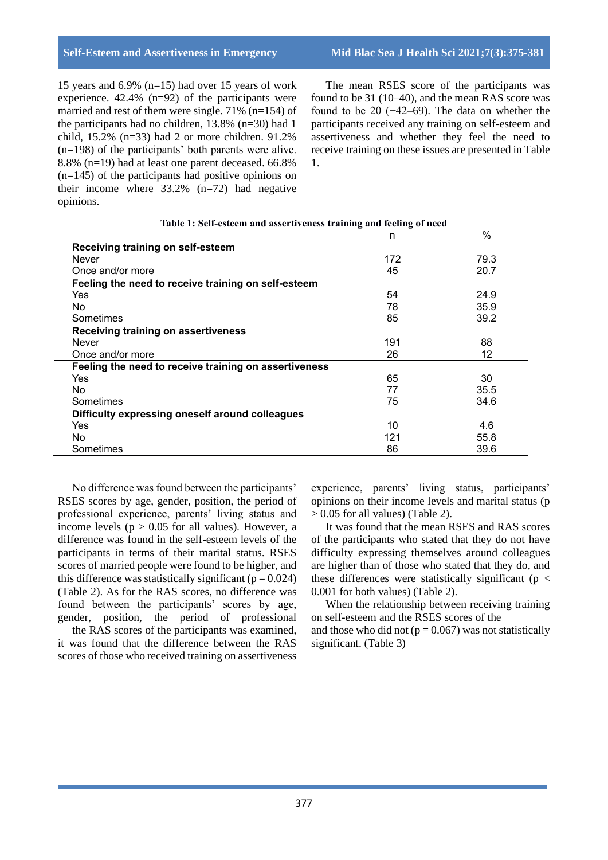15 years and 6.9% (n=15) had over 15 years of work experience. 42.4% (n=92) of the participants were married and rest of them were single. 71% (n=154) of the participants had no children, 13.8% (n=30) had 1 child, 15.2% (n=33) had 2 or more children. 91.2% (n=198) of the participants' both parents were alive. 8.8% (n=19) had at least one parent deceased. 66.8%  $(n=145)$  of the participants had positive opinions on their income where  $33.2\%$  (n=72) had negative opinions.

The mean RSES score of the participants was found to be 31 (10–40), and the mean RAS score was found to be 20 (−42–69). The data on whether the participants received any training on self-esteem and assertiveness and whether they feel the need to receive training on these issues are presented in Table 1.

|                                                       | n   | %    |
|-------------------------------------------------------|-----|------|
| Receiving training on self-esteem                     |     |      |
| <b>Never</b>                                          | 172 | 79.3 |
| Once and/or more                                      | 45  | 20.7 |
| Feeling the need to receive training on self-esteem   |     |      |
| Yes                                                   | 54  | 24.9 |
| No                                                    | 78  | 35.9 |
| Sometimes                                             | 85  | 39.2 |
| Receiving training on assertiveness                   |     |      |
| <b>Never</b>                                          | 191 | 88   |
| Once and/or more                                      | 26  | 12   |
| Feeling the need to receive training on assertiveness |     |      |
| Yes                                                   | 65  | 30   |
| No                                                    | 77  | 35.5 |
| Sometimes                                             | 75  | 34.6 |
| Difficulty expressing oneself around colleagues       |     |      |
| Yes                                                   | 10  | 4.6  |
| No                                                    | 121 | 55.8 |
| Sometimes                                             | 86  | 39.6 |

**Table 1: Self-esteem and assertiveness training and feeling of need**

No difference was found between the participants' RSES scores by age, gender, position, the period of professional experience, parents' living status and income levels ( $p > 0.05$  for all values). However, a difference was found in the self-esteem levels of the participants in terms of their marital status. RSES scores of married people were found to be higher, and this difference was statistically significant ( $p = 0.024$ ) (Table 2). As for the RAS scores, no difference was found between the participants' scores by age, gender, position, the period of professional

the RAS scores of the participants was examined, it was found that the difference between the RAS scores of those who received training on assertiveness

experience, parents' living status, participants' opinions on their income levels and marital status (p  $> 0.05$  for all values) (Table 2).

It was found that the mean RSES and RAS scores of the participants who stated that they do not have difficulty expressing themselves around colleagues are higher than of those who stated that they do, and these differences were statistically significant ( $p <$ 0.001 for both values) (Table 2).

When the relationship between receiving training on self-esteem and the RSES scores of the and those who did not ( $p = 0.067$ ) was not statistically significant. (Table 3)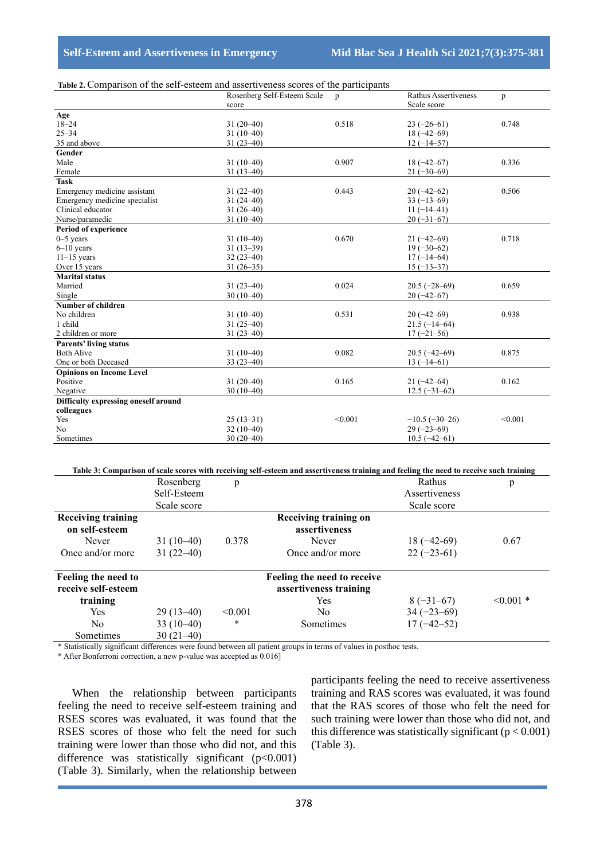| Scale score<br>score<br>Age<br>$18 - 24$<br>0.518<br>$31(20-40)$<br>$23(-26-61)$<br>0.748<br>$25 - 34$<br>$31(10-40)$<br>$18(-42-69)$<br>35 and above<br>$31(23-40)$<br>$12(-14-57)$<br>Gender<br>Male<br>0.907<br>$31(10-40)$<br>$18(-42-67)$<br>0.336<br>Female<br>$31(13-40)$<br>$21(-30-69)$<br><b>Task</b><br>0.443<br>Emergency medicine assistant<br>0.506<br>$31(22-40)$<br>$20(-42-62)$<br>Emergency medicine specialist<br>$31(24-40)$<br>$33(-13-69)$<br>Clinical educator<br>$31(26-40)$<br>$11(-14-41)$<br>$31(10-40)$<br>$20(-31-67)$<br>Nurse/paramedic<br>Period of experience<br>0.670<br>$31(10-40)$<br>0.718<br>$0-5$ years<br>$21(-42-69)$<br>$31(13-39)$<br>$19(-30-62)$<br>$6-10$ years<br>$11-15$ years<br>$32(23-40)$<br>$17(-14-64)$<br>$31(26-35)$<br>$15(-13-37)$<br>Over 15 years<br><b>Marital status</b><br>Married<br>$31(23-40)$<br>0.024<br>0.659<br>$20.5(-28-69)$<br>Single<br>$30(10-40)$<br>$20(-42-67)$<br><b>Number of children</b><br>0.531<br>0.938<br>No children<br>$31(10-40)$<br>$20(-42-69)$<br>1 child<br>$31(25-40)$<br>$21.5(-14-64)$<br>2 children or more<br>$31(23-40)$<br>$17(-21-56)$<br><b>Parents' living status</b><br><b>Both Alive</b><br>0.082<br>0.875<br>$31(10-40)$<br>$20.5(-42-69)$<br>One or both Deceased<br>$33(23-40)$<br>$13(-14-61)$<br><b>Opinions on Income Level</b><br>Positive<br>$31(20-40)$<br>0.165<br>0.162<br>$21(-42-64)$<br>$30(10-40)$<br>Negative<br>$12.5(-31-62)$<br>Difficulty expressing oneself around<br>colleagues<br>Yes<br>$25(13-31)$<br>< 0.001<br>< 0.001<br>$-10.5(-30-26)$<br>N <sub>o</sub><br>$29(-23-69)$<br>$32(10-40)$<br>Sometimes<br>$30(20-40)$<br>$10.5(-42-61)$ | rable 2. Comparison of the sen-esteem and assertiveness scores of the participants | Rosenberg Self-Esteem Scale |              | Rathus Assertiveness |   |
|------------------------------------------------------------------------------------------------------------------------------------------------------------------------------------------------------------------------------------------------------------------------------------------------------------------------------------------------------------------------------------------------------------------------------------------------------------------------------------------------------------------------------------------------------------------------------------------------------------------------------------------------------------------------------------------------------------------------------------------------------------------------------------------------------------------------------------------------------------------------------------------------------------------------------------------------------------------------------------------------------------------------------------------------------------------------------------------------------------------------------------------------------------------------------------------------------------------------------------------------------------------------------------------------------------------------------------------------------------------------------------------------------------------------------------------------------------------------------------------------------------------------------------------------------------------------------------------------------------------------------------------------------------------------------|------------------------------------------------------------------------------------|-----------------------------|--------------|----------------------|---|
|                                                                                                                                                                                                                                                                                                                                                                                                                                                                                                                                                                                                                                                                                                                                                                                                                                                                                                                                                                                                                                                                                                                                                                                                                                                                                                                                                                                                                                                                                                                                                                                                                                                                              |                                                                                    |                             | $\mathbf{p}$ |                      | p |
|                                                                                                                                                                                                                                                                                                                                                                                                                                                                                                                                                                                                                                                                                                                                                                                                                                                                                                                                                                                                                                                                                                                                                                                                                                                                                                                                                                                                                                                                                                                                                                                                                                                                              |                                                                                    |                             |              |                      |   |
|                                                                                                                                                                                                                                                                                                                                                                                                                                                                                                                                                                                                                                                                                                                                                                                                                                                                                                                                                                                                                                                                                                                                                                                                                                                                                                                                                                                                                                                                                                                                                                                                                                                                              |                                                                                    |                             |              |                      |   |
|                                                                                                                                                                                                                                                                                                                                                                                                                                                                                                                                                                                                                                                                                                                                                                                                                                                                                                                                                                                                                                                                                                                                                                                                                                                                                                                                                                                                                                                                                                                                                                                                                                                                              |                                                                                    |                             |              |                      |   |
|                                                                                                                                                                                                                                                                                                                                                                                                                                                                                                                                                                                                                                                                                                                                                                                                                                                                                                                                                                                                                                                                                                                                                                                                                                                                                                                                                                                                                                                                                                                                                                                                                                                                              |                                                                                    |                             |              |                      |   |
|                                                                                                                                                                                                                                                                                                                                                                                                                                                                                                                                                                                                                                                                                                                                                                                                                                                                                                                                                                                                                                                                                                                                                                                                                                                                                                                                                                                                                                                                                                                                                                                                                                                                              |                                                                                    |                             |              |                      |   |
|                                                                                                                                                                                                                                                                                                                                                                                                                                                                                                                                                                                                                                                                                                                                                                                                                                                                                                                                                                                                                                                                                                                                                                                                                                                                                                                                                                                                                                                                                                                                                                                                                                                                              |                                                                                    |                             |              |                      |   |
|                                                                                                                                                                                                                                                                                                                                                                                                                                                                                                                                                                                                                                                                                                                                                                                                                                                                                                                                                                                                                                                                                                                                                                                                                                                                                                                                                                                                                                                                                                                                                                                                                                                                              |                                                                                    |                             |              |                      |   |
|                                                                                                                                                                                                                                                                                                                                                                                                                                                                                                                                                                                                                                                                                                                                                                                                                                                                                                                                                                                                                                                                                                                                                                                                                                                                                                                                                                                                                                                                                                                                                                                                                                                                              |                                                                                    |                             |              |                      |   |
|                                                                                                                                                                                                                                                                                                                                                                                                                                                                                                                                                                                                                                                                                                                                                                                                                                                                                                                                                                                                                                                                                                                                                                                                                                                                                                                                                                                                                                                                                                                                                                                                                                                                              |                                                                                    |                             |              |                      |   |
|                                                                                                                                                                                                                                                                                                                                                                                                                                                                                                                                                                                                                                                                                                                                                                                                                                                                                                                                                                                                                                                                                                                                                                                                                                                                                                                                                                                                                                                                                                                                                                                                                                                                              |                                                                                    |                             |              |                      |   |
|                                                                                                                                                                                                                                                                                                                                                                                                                                                                                                                                                                                                                                                                                                                                                                                                                                                                                                                                                                                                                                                                                                                                                                                                                                                                                                                                                                                                                                                                                                                                                                                                                                                                              |                                                                                    |                             |              |                      |   |
|                                                                                                                                                                                                                                                                                                                                                                                                                                                                                                                                                                                                                                                                                                                                                                                                                                                                                                                                                                                                                                                                                                                                                                                                                                                                                                                                                                                                                                                                                                                                                                                                                                                                              |                                                                                    |                             |              |                      |   |
|                                                                                                                                                                                                                                                                                                                                                                                                                                                                                                                                                                                                                                                                                                                                                                                                                                                                                                                                                                                                                                                                                                                                                                                                                                                                                                                                                                                                                                                                                                                                                                                                                                                                              |                                                                                    |                             |              |                      |   |
|                                                                                                                                                                                                                                                                                                                                                                                                                                                                                                                                                                                                                                                                                                                                                                                                                                                                                                                                                                                                                                                                                                                                                                                                                                                                                                                                                                                                                                                                                                                                                                                                                                                                              |                                                                                    |                             |              |                      |   |
|                                                                                                                                                                                                                                                                                                                                                                                                                                                                                                                                                                                                                                                                                                                                                                                                                                                                                                                                                                                                                                                                                                                                                                                                                                                                                                                                                                                                                                                                                                                                                                                                                                                                              |                                                                                    |                             |              |                      |   |
|                                                                                                                                                                                                                                                                                                                                                                                                                                                                                                                                                                                                                                                                                                                                                                                                                                                                                                                                                                                                                                                                                                                                                                                                                                                                                                                                                                                                                                                                                                                                                                                                                                                                              |                                                                                    |                             |              |                      |   |
|                                                                                                                                                                                                                                                                                                                                                                                                                                                                                                                                                                                                                                                                                                                                                                                                                                                                                                                                                                                                                                                                                                                                                                                                                                                                                                                                                                                                                                                                                                                                                                                                                                                                              |                                                                                    |                             |              |                      |   |
|                                                                                                                                                                                                                                                                                                                                                                                                                                                                                                                                                                                                                                                                                                                                                                                                                                                                                                                                                                                                                                                                                                                                                                                                                                                                                                                                                                                                                                                                                                                                                                                                                                                                              |                                                                                    |                             |              |                      |   |
|                                                                                                                                                                                                                                                                                                                                                                                                                                                                                                                                                                                                                                                                                                                                                                                                                                                                                                                                                                                                                                                                                                                                                                                                                                                                                                                                                                                                                                                                                                                                                                                                                                                                              |                                                                                    |                             |              |                      |   |
|                                                                                                                                                                                                                                                                                                                                                                                                                                                                                                                                                                                                                                                                                                                                                                                                                                                                                                                                                                                                                                                                                                                                                                                                                                                                                                                                                                                                                                                                                                                                                                                                                                                                              |                                                                                    |                             |              |                      |   |
|                                                                                                                                                                                                                                                                                                                                                                                                                                                                                                                                                                                                                                                                                                                                                                                                                                                                                                                                                                                                                                                                                                                                                                                                                                                                                                                                                                                                                                                                                                                                                                                                                                                                              |                                                                                    |                             |              |                      |   |
|                                                                                                                                                                                                                                                                                                                                                                                                                                                                                                                                                                                                                                                                                                                                                                                                                                                                                                                                                                                                                                                                                                                                                                                                                                                                                                                                                                                                                                                                                                                                                                                                                                                                              |                                                                                    |                             |              |                      |   |
|                                                                                                                                                                                                                                                                                                                                                                                                                                                                                                                                                                                                                                                                                                                                                                                                                                                                                                                                                                                                                                                                                                                                                                                                                                                                                                                                                                                                                                                                                                                                                                                                                                                                              |                                                                                    |                             |              |                      |   |
|                                                                                                                                                                                                                                                                                                                                                                                                                                                                                                                                                                                                                                                                                                                                                                                                                                                                                                                                                                                                                                                                                                                                                                                                                                                                                                                                                                                                                                                                                                                                                                                                                                                                              |                                                                                    |                             |              |                      |   |
|                                                                                                                                                                                                                                                                                                                                                                                                                                                                                                                                                                                                                                                                                                                                                                                                                                                                                                                                                                                                                                                                                                                                                                                                                                                                                                                                                                                                                                                                                                                                                                                                                                                                              |                                                                                    |                             |              |                      |   |
|                                                                                                                                                                                                                                                                                                                                                                                                                                                                                                                                                                                                                                                                                                                                                                                                                                                                                                                                                                                                                                                                                                                                                                                                                                                                                                                                                                                                                                                                                                                                                                                                                                                                              |                                                                                    |                             |              |                      |   |
|                                                                                                                                                                                                                                                                                                                                                                                                                                                                                                                                                                                                                                                                                                                                                                                                                                                                                                                                                                                                                                                                                                                                                                                                                                                                                                                                                                                                                                                                                                                                                                                                                                                                              |                                                                                    |                             |              |                      |   |
|                                                                                                                                                                                                                                                                                                                                                                                                                                                                                                                                                                                                                                                                                                                                                                                                                                                                                                                                                                                                                                                                                                                                                                                                                                                                                                                                                                                                                                                                                                                                                                                                                                                                              |                                                                                    |                             |              |                      |   |
|                                                                                                                                                                                                                                                                                                                                                                                                                                                                                                                                                                                                                                                                                                                                                                                                                                                                                                                                                                                                                                                                                                                                                                                                                                                                                                                                                                                                                                                                                                                                                                                                                                                                              |                                                                                    |                             |              |                      |   |
|                                                                                                                                                                                                                                                                                                                                                                                                                                                                                                                                                                                                                                                                                                                                                                                                                                                                                                                                                                                                                                                                                                                                                                                                                                                                                                                                                                                                                                                                                                                                                                                                                                                                              |                                                                                    |                             |              |                      |   |
|                                                                                                                                                                                                                                                                                                                                                                                                                                                                                                                                                                                                                                                                                                                                                                                                                                                                                                                                                                                                                                                                                                                                                                                                                                                                                                                                                                                                                                                                                                                                                                                                                                                                              |                                                                                    |                             |              |                      |   |
|                                                                                                                                                                                                                                                                                                                                                                                                                                                                                                                                                                                                                                                                                                                                                                                                                                                                                                                                                                                                                                                                                                                                                                                                                                                                                                                                                                                                                                                                                                                                                                                                                                                                              |                                                                                    |                             |              |                      |   |
|                                                                                                                                                                                                                                                                                                                                                                                                                                                                                                                                                                                                                                                                                                                                                                                                                                                                                                                                                                                                                                                                                                                                                                                                                                                                                                                                                                                                                                                                                                                                                                                                                                                                              |                                                                                    |                             |              |                      |   |
|                                                                                                                                                                                                                                                                                                                                                                                                                                                                                                                                                                                                                                                                                                                                                                                                                                                                                                                                                                                                                                                                                                                                                                                                                                                                                                                                                                                                                                                                                                                                                                                                                                                                              |                                                                                    |                             |              |                      |   |
|                                                                                                                                                                                                                                                                                                                                                                                                                                                                                                                                                                                                                                                                                                                                                                                                                                                                                                                                                                                                                                                                                                                                                                                                                                                                                                                                                                                                                                                                                                                                                                                                                                                                              |                                                                                    |                             |              |                      |   |
|                                                                                                                                                                                                                                                                                                                                                                                                                                                                                                                                                                                                                                                                                                                                                                                                                                                                                                                                                                                                                                                                                                                                                                                                                                                                                                                                                                                                                                                                                                                                                                                                                                                                              |                                                                                    |                             |              |                      |   |

## **Table 2.** Comparison of the self-esteem and assertiveness scores of the participants

**Table 3: Comparison of scale scores with receiving self-esteem and assertiveness training and feeling the need to receive such training**

|                           |              |         |                             |                 | $\circ$     |
|---------------------------|--------------|---------|-----------------------------|-----------------|-------------|
|                           | Rosenberg    | p       |                             | Rathus          | p           |
|                           | Self-Esteem  |         |                             | Assertiveness   |             |
|                           | Scale score  |         |                             | Scale score     |             |
| <b>Receiving training</b> |              |         | Receiving training on       |                 |             |
| on self-esteem            |              |         | assertiveness               |                 |             |
| Never                     | $31(10-40)$  | 0.378   | Never                       | $18(-42-69)$    | 0.67        |
| Once and/or more          | $31(22-40)$  |         | Once and/or more            | $22(-23-61)$    |             |
| Feeling the need to       |              |         | Feeling the need to receive |                 |             |
| receive self-esteem       |              |         | assertiveness training      |                 |             |
| training                  |              |         | <b>Yes</b>                  | $8(-31-67)$     | $< 0.001$ * |
| <b>Yes</b>                | $29(13-40)$  | < 0.001 | N <sub>0</sub>              | $34 (-23 - 69)$ |             |
| N <sub>0</sub>            | 33 $(10-40)$ | *       | Sometimes                   | $17(-42-52)$    |             |
| Sometimes                 | $30(21-40)$  |         |                             |                 |             |

\* Statistically significant differences were found between all patient groups in terms of values in posthoc tests.

\* After Bonferroni correction, a new p-value was accepted as 0.016]

When the relationship between participants feeling the need to receive self-esteem training and RSES scores was evaluated, it was found that the RSES scores of those who felt the need for such training were lower than those who did not, and this difference was statistically significant  $(p<0.001)$ (Table 3). Similarly, when the relationship between participants feeling the need to receive assertiveness training and RAS scores was evaluated, it was found that the RAS scores of those who felt the need for such training were lower than those who did not, and this difference was statistically significant  $(p < 0.001)$ (Table 3).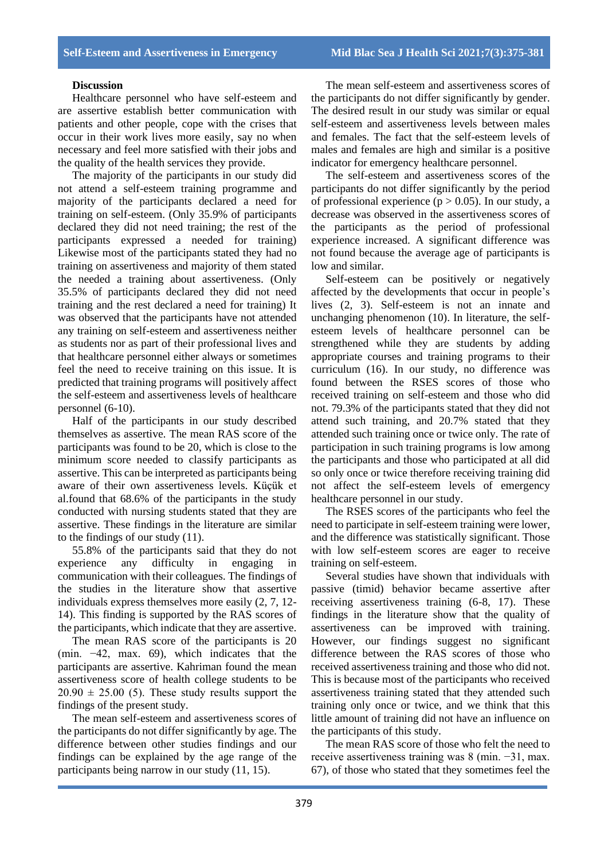## **Discussion**

Healthcare personnel who have self-esteem and are assertive establish better communication with patients and other people, cope with the crises that occur in their work lives more easily, say no when necessary and feel more satisfied with their jobs and the quality of the health services they provide.

The majority of the participants in our study did not attend a self-esteem training programme and majority of the participants declared a need for training on self-esteem. (Only 35.9% of participants declared they did not need training; the rest of the participants expressed a needed for training) Likewise most of the participants stated they had no training on assertiveness and majority of them stated the needed a training about assertiveness. (Only 35.5% of participants declared they did not need training and the rest declared a need for training) It was observed that the participants have not attended any training on self-esteem and assertiveness neither as students nor as part of their professional lives and that healthcare personnel either always or sometimes feel the need to receive training on this issue. It is predicted that training programs will positively affect the self-esteem and assertiveness levels of healthcare personnel (6-10).

Half of the participants in our study described themselves as assertive. The mean RAS score of the participants was found to be 20, which is close to the minimum score needed to classify participants as assertive. This can be interpreted as participants being aware of their own assertiveness levels. Küçük et al.found that 68.6% of the participants in the study conducted with nursing students stated that they are assertive. These findings in the literature are similar to the findings of our study (11).

55.8% of the participants said that they do not experience any difficulty in engaging in communication with their colleagues. The findings of the studies in the literature show that assertive individuals express themselves more easily (2, 7, 12- 14). This finding is supported by the RAS scores of the participants, which indicate that they are assertive.

The mean RAS score of the participants is 20 (min. −42, max. 69), which indicates that the participants are assertive. Kahriman found the mean assertiveness score of health college students to be  $20.90 \pm 25.00$  (5). These study results support the findings of the present study.

The mean self-esteem and assertiveness scores of the participants do not differ significantly by age. The difference between other studies findings and our findings can be explained by the age range of the participants being narrow in our study (11, 15).

The mean self-esteem and assertiveness scores of the participants do not differ significantly by gender. The desired result in our study was similar or equal self-esteem and assertiveness levels between males and females. The fact that the self-esteem levels of males and females are high and similar is a positive indicator for emergency healthcare personnel.

The self-esteem and assertiveness scores of the participants do not differ significantly by the period of professional experience ( $p > 0.05$ ). In our study, a decrease was observed in the assertiveness scores of the participants as the period of professional experience increased. A significant difference was not found because the average age of participants is low and similar.

Self-esteem can be positively or negatively affected by the developments that occur in people's lives (2, 3). Self-esteem is not an innate and unchanging phenomenon (10). In literature, the selfesteem levels of healthcare personnel can be strengthened while they are students by adding appropriate courses and training programs to their curriculum (16). In our study, no difference was found between the RSES scores of those who received training on self-esteem and those who did not. 79.3% of the participants stated that they did not attend such training, and 20.7% stated that they attended such training once or twice only. The rate of participation in such training programs is low among the participants and those who participated at all did so only once or twice therefore receiving training did not affect the self-esteem levels of emergency healthcare personnel in our study.

The RSES scores of the participants who feel the need to participate in self-esteem training were lower, and the difference was statistically significant. Those with low self-esteem scores are eager to receive training on self-esteem.

Several studies have shown that individuals with passive (timid) behavior became assertive after receiving assertiveness training (6-8, 17). These findings in the literature show that the quality of assertiveness can be improved with training. However, our findings suggest no significant difference between the RAS scores of those who received assertiveness training and those who did not. This is because most of the participants who received assertiveness training stated that they attended such training only once or twice, and we think that this little amount of training did not have an influence on the participants of this study.

The mean RAS score of those who felt the need to receive assertiveness training was 8 (min. −31, max. 67), of those who stated that they sometimes feel the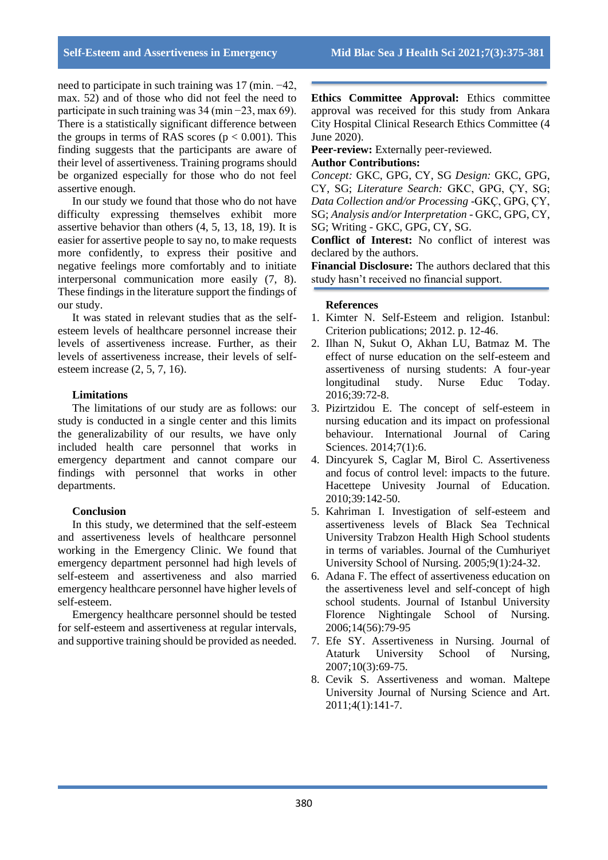need to participate in such training was 17 (min. −42, max. 52) and of those who did not feel the need to participate in such training was 34 (min −23, max 69). There is a statistically significant difference between the groups in terms of RAS scores ( $p < 0.001$ ). This finding suggests that the participants are aware of their level of assertiveness. Training programs should be organized especially for those who do not feel assertive enough.

In our study we found that those who do not have difficulty expressing themselves exhibit more assertive behavior than others (4, 5, 13, 18, 19). It is easier for assertive people to say no, to make requests more confidently, to express their positive and negative feelings more comfortably and to initiate interpersonal communication more easily (7, 8). These findings in the literature support the findings of our study.

It was stated in relevant studies that as the selfesteem levels of healthcare personnel increase their levels of assertiveness increase. Further, as their levels of assertiveness increase, their levels of selfesteem increase (2, 5, 7, 16).

# **Limitations**

The limitations of our study are as follows: our study is conducted in a single center and this limits the generalizability of our results, we have only included health care personnel that works in emergency department and cannot compare our findings with personnel that works in other departments.

## **Conclusion**

In this study, we determined that the self-esteem and assertiveness levels of healthcare personnel working in the Emergency Clinic. We found that emergency department personnel had high levels of self-esteem and assertiveness and also married emergency healthcare personnel have higher levels of self-esteem.

Emergency healthcare personnel should be tested for self-esteem and assertiveness at regular intervals, and supportive training should be provided as needed.

**Ethics Committee Approval:** Ethics committee approval was received for this study from Ankara City Hospital Clinical Research Ethics Committee (4 June 2020).

**Peer-review:** Externally peer-reviewed.

## **Author Contributions:**

*Concept:* GKC, GPG, CY, SG *Design:* GKC, GPG, CY, SG; *Literature Search:* GKC, GPG, ÇY, SG; *Data Collection and/or Processing* -GKÇ, GPG, ÇY, SG; *Analysis and/or Interpretation* - GKC, GPG, CY, SG; Writing - GKC, GPG, CY, SG.

**Conflict of Interest:** No conflict of interest was declared by the authors.

**Financial Disclosure:** The authors declared that this study hasn't received no financial support.

## **References**

- 1. Kimter N. Self-Esteem and religion. Istanbul: Criterion publications; 2012. p. 12-46.
- 2. Ilhan N, Sukut O, Akhan LU, Batmaz M. The effect of nurse education on the self-esteem and assertiveness of nursing students: A four-year longitudinal study. Nurse Educ Today. 2016;39:72-8.
- 3. Pizirtzidou E. The concept of self-esteem in nursing education and its impact on professional behaviour. International Journal of Caring Sciences. 2014;7(1):6.
- 4. Dincyurek S, Caglar M, Birol C. Assertiveness and focus of control level: impacts to the future. Hacettepe Univesity Journal of Education. 2010;39:142-50.
- 5. Kahriman I. Investigation of self-esteem and assertiveness levels of Black Sea Technical University Trabzon Health High School students in terms of variables. Journal of the Cumhuriyet University School of Nursing. 2005;9(1):24-32.
- 6. Adana F. The effect of assertiveness education on the assertiveness level and self-concept of high school students. Journal of Istanbul University Florence Nightingale School of Nursing. 2006;14(56):79-95
- 7. Efe SY. Assertiveness in Nursing. Journal of Ataturk University School of Nursing, 2007;10(3):69-75.
- 8. Cevik S. Assertiveness and woman. Maltepe University Journal of Nursing Science and Art. 2011;4(1):141-7.